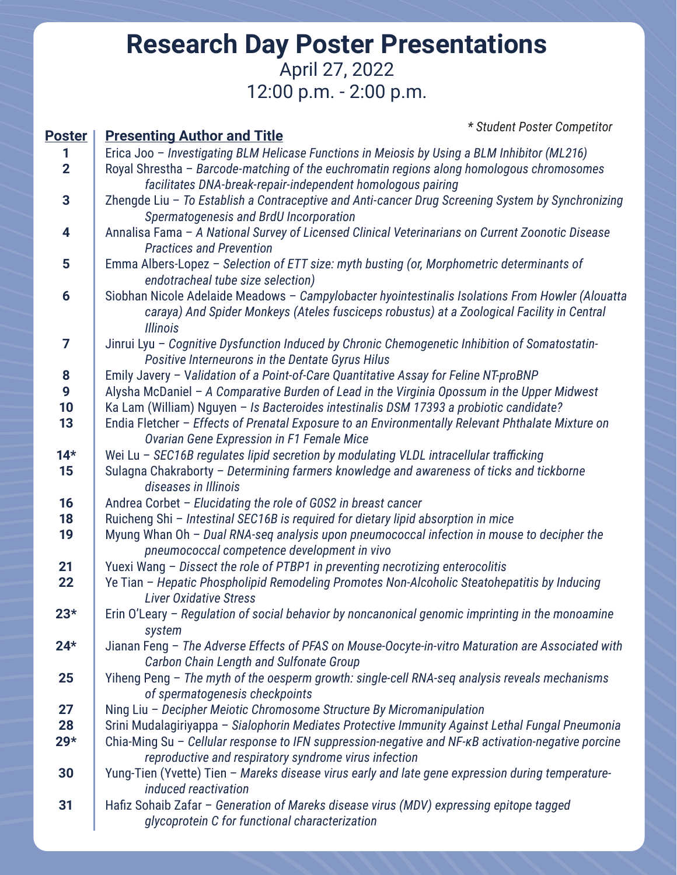## **Research Day Poster Presentations** April 27, 2022 12:00 p.m. - 2:00 p.m.

| <b>Poster</b>  | * Student Poster Competitor<br><b>Presenting Author and Title</b>                                                                                                                   |
|----------------|-------------------------------------------------------------------------------------------------------------------------------------------------------------------------------------|
| 1              | Erica Joo - Investigating BLM Helicase Functions in Meiosis by Using a BLM Inhibitor (ML216)                                                                                        |
| $\overline{2}$ | Royal Shrestha - Barcode-matching of the euchromatin regions along homologous chromosomes                                                                                           |
|                | facilitates DNA-break-repair-independent homologous pairing                                                                                                                         |
| 3              | Zhengde Liu - To Establish a Contraceptive and Anti-cancer Drug Screening System by Synchronizing                                                                                   |
|                | Spermatogenesis and BrdU Incorporation                                                                                                                                              |
| 4              | Annalisa Fama - A National Survey of Licensed Clinical Veterinarians on Current Zoonotic Disease                                                                                    |
|                | <b>Practices and Prevention</b>                                                                                                                                                     |
| 5              | Emma Albers-Lopez - Selection of ETT size: myth busting (or, Morphometric determinants of                                                                                           |
|                | endotracheal tube size selection)                                                                                                                                                   |
|                |                                                                                                                                                                                     |
| 6              | Siobhan Nicole Adelaide Meadows - Campylobacter hyointestinalis Isolations From Howler (Alouatta                                                                                    |
|                | caraya) And Spider Monkeys (Ateles fusciceps robustus) at a Zoological Facility in Central                                                                                          |
| 7              | <b>Illinois</b>                                                                                                                                                                     |
|                | Jinrui Lyu - Cognitive Dysfunction Induced by Chronic Chemogenetic Inhibition of Somatostatin-                                                                                      |
|                | Positive Interneurons in the Dentate Gyrus Hilus                                                                                                                                    |
| 8<br>9         | Emily Javery - Validation of a Point-of-Care Quantitative Assay for Feline NT-proBNP<br>Alysha McDaniel - A Comparative Burden of Lead in the Virginia Opossum in the Upper Midwest |
| 10             | Ka Lam (William) Nguyen - Is Bacteroides intestinalis DSM 17393 a probiotic candidate?                                                                                              |
| 13             | Endia Fletcher - Effects of Prenatal Exposure to an Environmentally Relevant Phthalate Mixture on                                                                                   |
|                | Ovarian Gene Expression in F1 Female Mice                                                                                                                                           |
| $14*$          | Wei Lu - SEC16B regulates lipid secretion by modulating VLDL intracellular trafficking                                                                                              |
| 15             | Sulagna Chakraborty - Determining farmers knowledge and awareness of ticks and tickborne                                                                                            |
|                | diseases in Illinois                                                                                                                                                                |
| 16             | Andrea Corbet - Elucidating the role of G0S2 in breast cancer                                                                                                                       |
| 18             | Ruicheng Shi - Intestinal SEC16B is required for dietary lipid absorption in mice                                                                                                   |
| 19             | Myung Whan Oh - Dual RNA-seq analysis upon pneumococcal infection in mouse to decipher the                                                                                          |
|                | pneumococcal competence development in vivo                                                                                                                                         |
| 21             | Yuexi Wang - Dissect the role of PTBP1 in preventing necrotizing enterocolitis                                                                                                      |
| 22             | Ye Tian - Hepatic Phospholipid Remodeling Promotes Non-Alcoholic Steatohepatitis by Inducing                                                                                        |
|                | <b>Liver Oxidative Stress</b>                                                                                                                                                       |
| $23*$          | Erin O'Leary - Regulation of social behavior by noncanonical genomic imprinting in the monoamine                                                                                    |
|                | system                                                                                                                                                                              |
| $24*$          | Jianan Feng - The Adverse Effects of PFAS on Mouse-Oocyte-in-vitro Maturation are Associated with                                                                                   |
|                | Carbon Chain Length and Sulfonate Group                                                                                                                                             |
| 25             | Yiheng Peng - The myth of the oesperm growth: single-cell RNA-seq analysis reveals mechanisms                                                                                       |
|                | of spermatogenesis checkpoints                                                                                                                                                      |
| 27             | Ning Liu - Decipher Meiotic Chromosome Structure By Micromanipulation                                                                                                               |
| 28             | Srini Mudalagiriyappa - Sialophorin Mediates Protective Immunity Against Lethal Fungal Pneumonia                                                                                    |
| $29*$          | Chia-Ming Su - Cellular response to IFN suppression-negative and NF-KB activation-negative porcine                                                                                  |
|                | reproductive and respiratory syndrome virus infection                                                                                                                               |
| 30             | Yung-Tien (Yvette) Tien - Mareks disease virus early and late gene expression during temperature-                                                                                   |
|                | induced reactivation                                                                                                                                                                |
| 31             | Hafiz Sohaib Zafar - Generation of Mareks disease virus (MDV) expressing epitope tagged                                                                                             |
|                | glycoprotein C for functional characterization                                                                                                                                      |